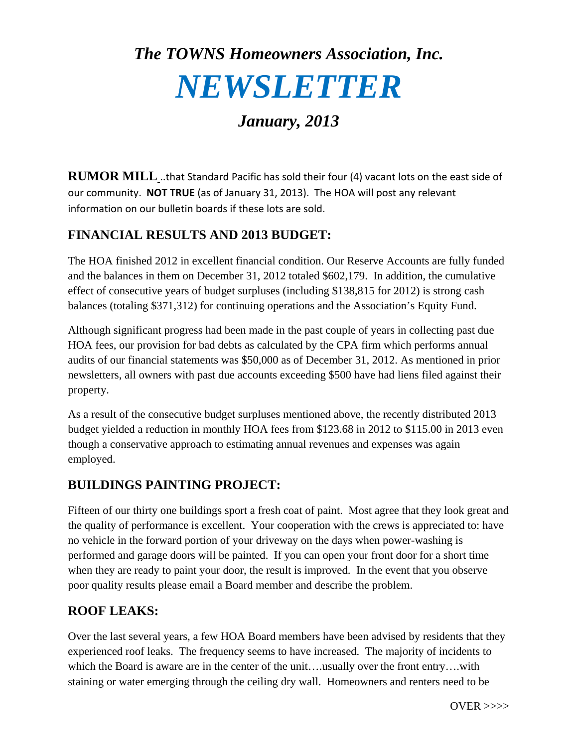# *The TOWNS Homeowners Association, Inc. NEWSLETTER*

## *January, 2013*

**RUMOR MILL** ..that Standard Pacific has sold their four (4) vacant lots on the east side of our community. **NOT TRUE** (as of January 31, 2013). The HOA will post any relevant information on our bulletin boards if these lots are sold.

### **FINANCIAL RESULTS AND 2013 BUDGET:**

The HOA finished 2012 in excellent financial condition. Our Reserve Accounts are fully funded and the balances in them on December 31, 2012 totaled \$602,179. In addition, the cumulative effect of consecutive years of budget surpluses (including \$138,815 for 2012) is strong cash balances (totaling \$371,312) for continuing operations and the Association's Equity Fund.

Although significant progress had been made in the past couple of years in collecting past due HOA fees, our provision for bad debts as calculated by the CPA firm which performs annual audits of our financial statements was \$50,000 as of December 31, 2012. As mentioned in prior newsletters, all owners with past due accounts exceeding \$500 have had liens filed against their property.

As a result of the consecutive budget surpluses mentioned above, the recently distributed 2013 budget yielded a reduction in monthly HOA fees from \$123.68 in 2012 to \$115.00 in 2013 even though a conservative approach to estimating annual revenues and expenses was again employed.

#### **BUILDINGS PAINTING PROJECT:**

Fifteen of our thirty one buildings sport a fresh coat of paint. Most agree that they look great and the quality of performance is excellent. Your cooperation with the crews is appreciated to: have no vehicle in the forward portion of your driveway on the days when power-washing is performed and garage doors will be painted. If you can open your front door for a short time when they are ready to paint your door, the result is improved. In the event that you observe poor quality results please email a Board member and describe the problem.

### **ROOF LEAKS:**

Over the last several years, a few HOA Board members have been advised by residents that they experienced roof leaks. The frequency seems to have increased. The majority of incidents to which the Board is aware are in the center of the unit….usually over the front entry….with staining or water emerging through the ceiling dry wall. Homeowners and renters need to be